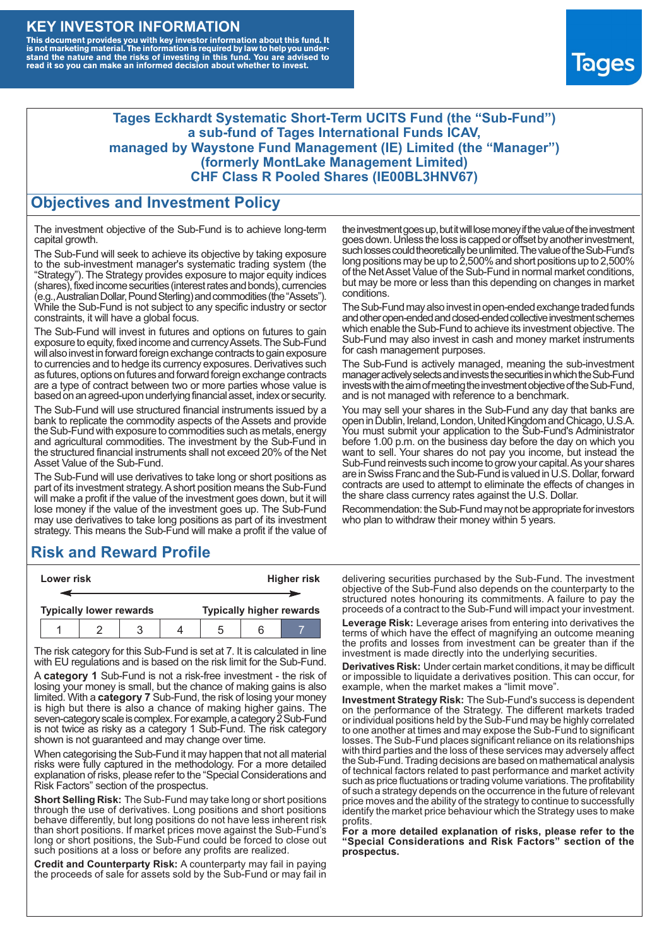### **KEY INVESTOR INFORMATION**

This document provides you with key investor information about this fund. It<br>is not marketing material. The information is required by law to help you under-<br>stand the nature and the risks of investing in this fund. You ar



#### **Tages Eckhardt Systematic Short-Term UCITS Fund (the "Sub-Fund") a sub-fund of Tages International Funds ICAV, managed by Waystone Fund Management (IE) Limited (the "Manager") (formerly MontLake Management Limited) CHF Class R Pooled Shares (IE00BL3HNV67)**

#### **Objectives and Investment Policy**

The investment objective of the Sub-Fund is to achieve long-term capital growth.

The Sub-Fund will seek to achieve its objective by taking exposure to the sub-investment manager's systematic trading system (the "Strategy"). The Strategy provides exposure to major equity indices (shares),fixed income securities (interest rates and bonds), currencies (e.g.,AustralianDollar,PoundSterling)and commodities (the "Assets"). While the Sub-Fund is not subject to any specific industry or sector constraints, it will have a global focus.

The Sub-Fund will invest in futures and options on futures to gain exposure to equity, fixed income and currency Assets. The Sub-Fund will also invest in forward foreign exchange contracts to gain exposure to currencies and to hedge its currency exposures. Derivatives such as futures, options on futures and forward foreign exchange contracts are a type of contract between two or more parties whose value is based on an agreed-upon underlying financial asset, index or security.

The Sub-Fund will use structured financial instruments issued by a bank to replicate the commodity aspects of the Assets and provide the Sub-Fund with exposure to commodities such as metals, energy and agricultural commodities. The investment by the Sub-Fund in the structured financial instruments shall not exceed 20% of the Net Asset Value of the Sub-Fund.

The Sub-Fund will use derivatives to take long or short positions as part of its investment strategy.A short position means the Sub-Fund will make a profit if the value of the investment goes down, but it will lose money if the value of the investment goes up. The Sub-Fund may use derivatives to take long positions as part of its investment strategy. This means the Sub-Fund will make a profit if the value of

## **Risk and Reward Profile**

| Lower risk |  |                                |  |  | <b>Higher risk</b> |  |                                 |
|------------|--|--------------------------------|--|--|--------------------|--|---------------------------------|
|            |  |                                |  |  |                    |  |                                 |
|            |  | <b>Typically lower rewards</b> |  |  |                    |  | <b>Typically higher rewards</b> |
|            |  |                                |  |  | :h                 |  |                                 |

The risk category for this Sub-Fund is set at 7. It is calculated in line with EU regulations and is based on the risk limit for the Sub-Fund.

A **category 1** Sub-Fund is not a risk-free investment - the risk of losing your money is small, but the chance of making gains is also limited. With a **category 7** Sub-Fund, the risk of losing your money is high but there is also a chance of making higher gains. The seven-category scale is complex. For example, a category 2 Sub-Fund is not twice as risky as a category 1 Sub-Fund. The risk category shown is not guaranteed and may change over time.

When categorising the Sub-Fund it may happen that not all material risks were fully captured in the methodology. For a more detailed explanation of risks, please refer to the "Special Considerations and Risk Factors" section of the prospectus.

**Short Selling Risk:** The Sub-Fund may take long or short positions through the use of derivatives. Long positions and short positions behave differently, but long positions do not have less inherent risk than short positions. If market prices move against the Sub-Fund's long or short positions, the Sub-Fund could be forced to close out such positions at a loss or before any profits are realized.

**Credit and Counterparty Risk:** A counterparty may fail in paying the proceeds of sale for assets sold by the Sub-Fund or may fail in the investment goes up, but it will lose money if the value of the investment goes down. Unlessthe loss is capped or offset by another investment, such losses could theoretically be unlimited. The value of the Sub-Fund's long positions may be up to  $2,500\%$  and short positions up to  $2,500\%$ of the NetAsset Value of the Sub-Fund in normal market conditions, but may be more or less than this depending on changes in market conditions.

The Sub-Fund may also invest in open-ended exchange traded funds and other open-ended and closed-ended collective investment schemes which enable the Sub-Fund to achieve its investment objective. The Sub-Fund may also invest in cash and money market instruments for cash management purposes.

The Sub-Fund is actively managed, meaning the sub-investment manager actively selects and invests the securities in which the Sub-Fund invests with the aim of meeting the investment objective of the Sub-Fund, and is not managed with reference to a benchmark.

You may sell your shares in the Sub-Fund any day that banks are open in Dublin, Ireland, London, United Kingdom and Chicago, U.S.A. You must submit your application to the Sub-Fund's Administrator before 1.00 p.m. on the business day before the day on which you want to sell. Your shares do not pay you income, but instead the Sub-Fund reinvests such income to grow your capital. As your shares are in Swiss Franc and the Sub-Fund is valued in U.S. Dollar, forward contracts are used to attempt to eliminate the effects of changes in the share class currency rates against the U.S. Dollar.

Recommendation: the Sub-Fund may not be appropriate for investors who plan to withdraw their money within 5 years.

delivering securities purchased by the Sub-Fund. The investment objective of the Sub-Fund also depends on the counterparty to the structured notes honouring its commitments. A failure to pay the proceeds of a contract to the Sub-Fund will impact your investment.

**Leverage Risk:** Leverage arises from entering into derivatives the terms of which have the effect of magnifying an outcome meaning the profits and losses from investment can be greater than if the investment is made directly into the underlying securities.

**Derivatives Risk:** Under certain market conditions, it may be difficult or impossible to liquidate a derivatives position. This can occur, for example, when the market makes a "limit move".

**Investment Strategy Risk:** The Sub-Fund's success is dependent on the performance of the Strategy. The different markets traded or individual positions held by the Sub-Fund may be highly correlated to one another at times and may expose the Sub-Fund to significant losses. The Sub-Fund places significant reliance on its relationships with third parties and the loss of these services may adversely affect the Sub-Fund. Trading decisions are based on mathematical analysis of technical factors related to past performance and market activity such as price fluctuations or trading volume variations. The profitability of such a strategy depends on the occurrence in the future of relevant price moves and the ability of the strategy to continue to successfully identify the market price behaviour which the Strategy uses to make profits.

**For a more detailed explanation of risks, please refer to the "Special Considerations and Risk Factors" section of the prospectus.**